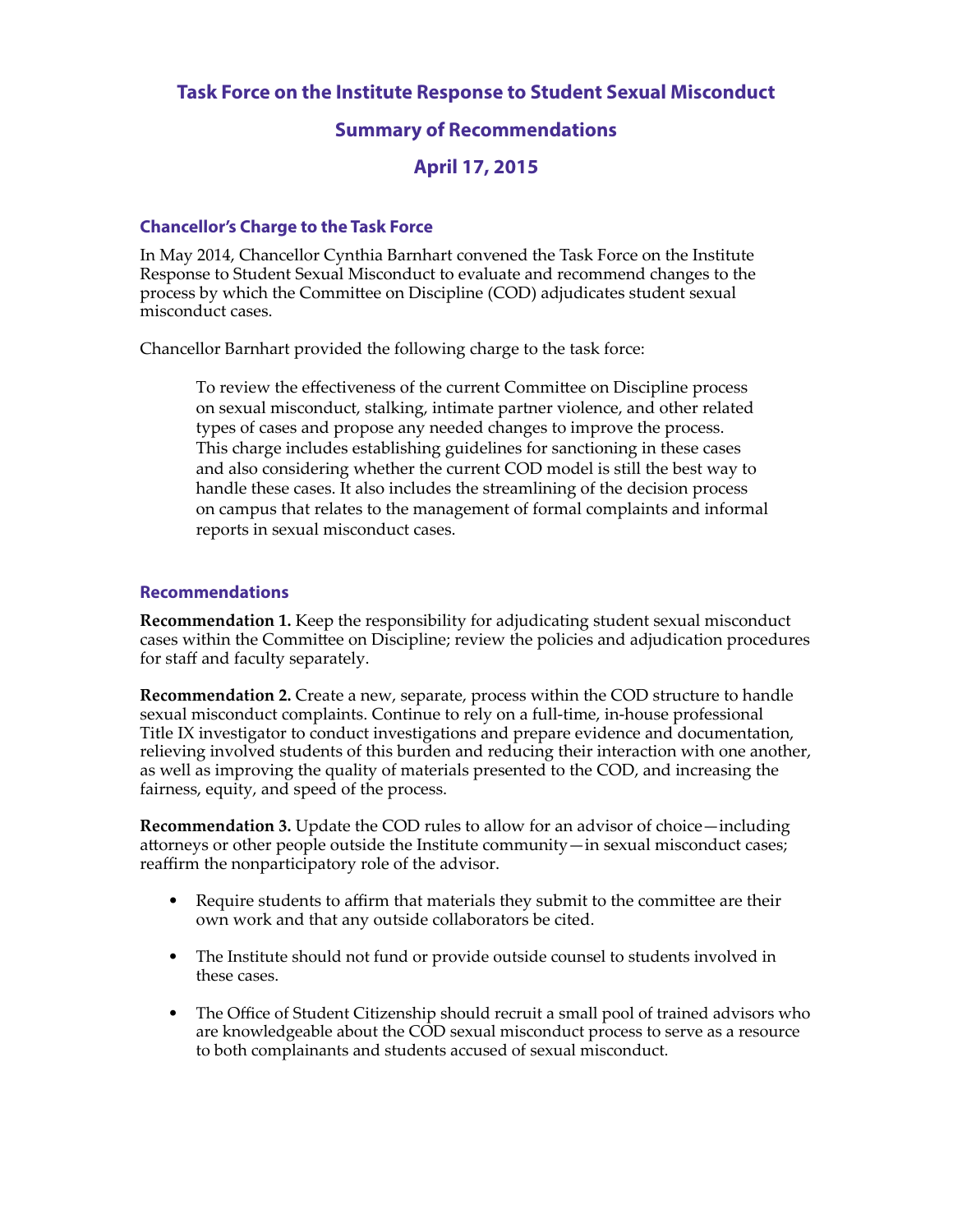**Task Force on the Institute Response to Student Sexual Misconduct**

## **Summary of Recommendations**

## **April 17, 2015**

## **Chancellor's Charge to the Task Force**

In May 2014, Chancellor Cynthia Barnhart convened the Task Force on the Institute Response to Student Sexual Misconduct to evaluate and recommend changes to the process by which the Commitee on Discipline (COD) adjudicates student sexual misconduct cases.

Chancellor Barnhart provided the following charge to the task force:

To review the efectiveness of the current Commitee on Discipline process on sexual misconduct, stalking, intimate partner violence, and other related types of cases and propose any needed changes to improve the process. This charge includes establishing guidelines for sanctioning in these cases and also considering whether the current COD model is still the best way to handle these cases. It also includes the streamlining of the decision process on campus that relates to the management of formal complaints and informal reports in sexual misconduct cases.

## **Recommendations**

**Recommendation 1.** Keep the responsibility for adjudicating student sexual misconduct cases within the Commitee on Discipline; review the policies and adjudication procedures for staff and faculty separately.

**Recommendation 2.** Create a new, separate, process within the COD structure to handle sexual misconduct complaints. Continue to rely on a full-time, in-house professional Title IX investigator to conduct investigations and prepare evidence and documentation, relieving involved students of this burden and reducing their interaction with one another, as well as improving the quality of materials presented to the COD, and increasing the fairness, equity, and speed of the process.

**Recommendation 3.** Update the COD rules to allow for an advisor of choice—including atorneys or other people outside the Institute community—in sexual misconduct cases; reaffirm the nonparticipatory role of the advisor.

- Require students to affirm that materials they submit to the committee are their own work and that any outside collaborators be cited.
- The Institute should not fund or provide outside counsel to students involved in these cases.
- The Office of Student Citizenship should recruit a small pool of trained advisors who are knowledgeable about the COD sexual misconduct process to serve as a resource to both complainants and students accused of sexual misconduct.